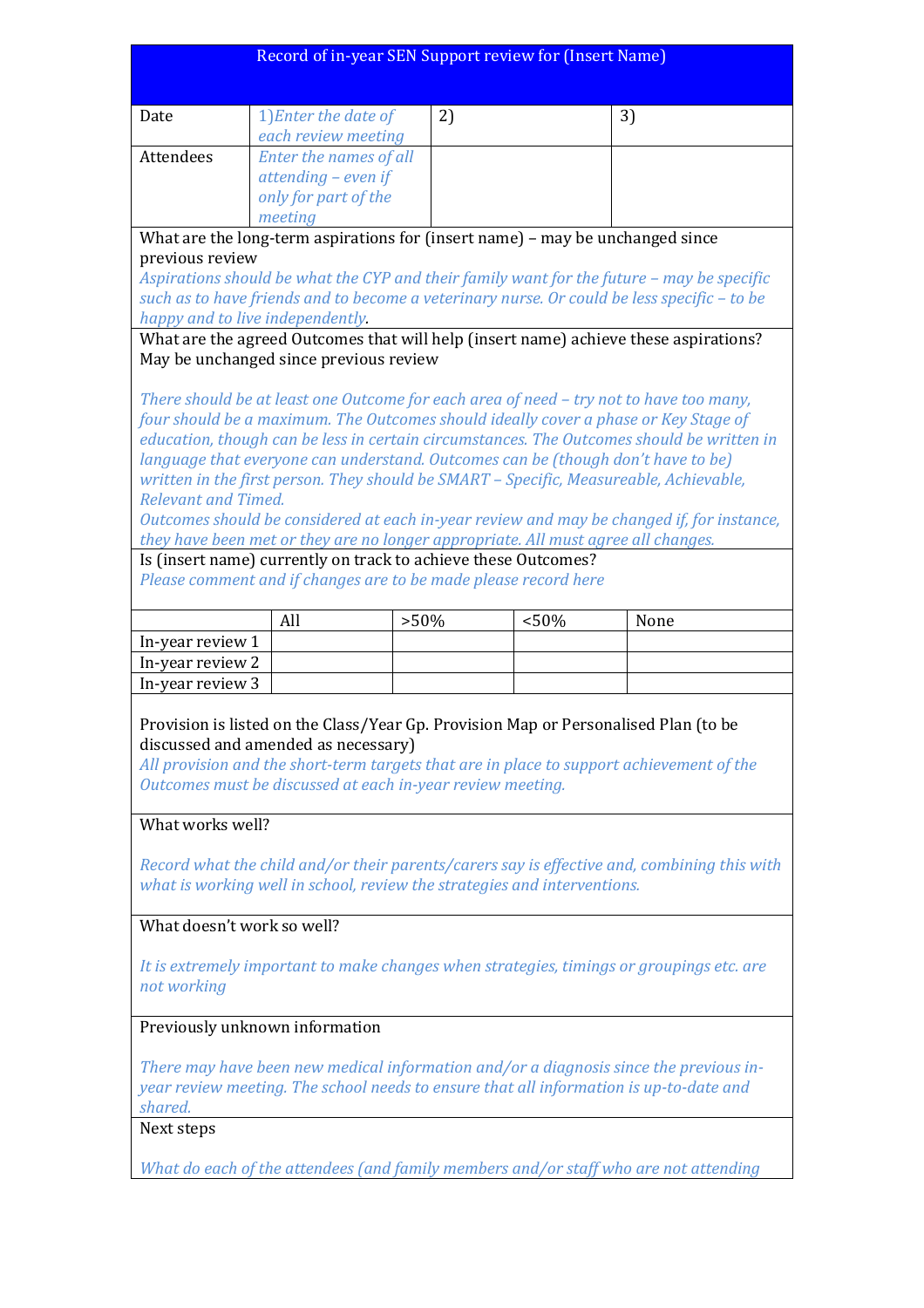| Record of in-year SEN Support review for (Insert Name)                                                                                                                        |                        |                                                                                   |       |                                                                                             |
|-------------------------------------------------------------------------------------------------------------------------------------------------------------------------------|------------------------|-----------------------------------------------------------------------------------|-------|---------------------------------------------------------------------------------------------|
|                                                                                                                                                                               |                        |                                                                                   |       |                                                                                             |
| Date                                                                                                                                                                          | 1) Enter the date of   | 2)                                                                                |       | 3)                                                                                          |
|                                                                                                                                                                               | each review meeting    |                                                                                   |       |                                                                                             |
| Attendees                                                                                                                                                                     | Enter the names of all |                                                                                   |       |                                                                                             |
|                                                                                                                                                                               | attending - even if    |                                                                                   |       |                                                                                             |
|                                                                                                                                                                               | only for part of the   |                                                                                   |       |                                                                                             |
|                                                                                                                                                                               | meeting                |                                                                                   |       |                                                                                             |
|                                                                                                                                                                               |                        | What are the long-term aspirations for (insert name) - may be unchanged since     |       |                                                                                             |
| previous review                                                                                                                                                               |                        |                                                                                   |       |                                                                                             |
|                                                                                                                                                                               |                        |                                                                                   |       | Aspirations should be what the CYP and their family want for the future - may be specific   |
|                                                                                                                                                                               |                        |                                                                                   |       | such as to have friends and to become a veterinary nurse. Or could be less specific - to be |
| happy and to live independently.                                                                                                                                              |                        |                                                                                   |       |                                                                                             |
|                                                                                                                                                                               |                        |                                                                                   |       | What are the agreed Outcomes that will help (insert name) achieve these aspirations?        |
| May be unchanged since previous review                                                                                                                                        |                        |                                                                                   |       |                                                                                             |
|                                                                                                                                                                               |                        |                                                                                   |       |                                                                                             |
| There should be at least one Outcome for each area of need - try not to have too many,<br>four should be a maximum. The Outcomes should ideally cover a phase or Key Stage of |                        |                                                                                   |       |                                                                                             |
|                                                                                                                                                                               |                        |                                                                                   |       | education, though can be less in certain circumstances. The Outcomes should be written in   |
|                                                                                                                                                                               |                        |                                                                                   |       | language that everyone can understand. Outcomes can be (though don't have to be)            |
|                                                                                                                                                                               |                        |                                                                                   |       | written in the first person. They should be SMART - Specific, Measureable, Achievable,      |
| <b>Relevant and Timed.</b>                                                                                                                                                    |                        |                                                                                   |       |                                                                                             |
|                                                                                                                                                                               |                        |                                                                                   |       | Outcomes should be considered at each in-year review and may be changed if, for instance,   |
|                                                                                                                                                                               |                        | they have been met or they are no longer appropriate. All must agree all changes. |       |                                                                                             |
|                                                                                                                                                                               |                        | Is (insert name) currently on track to achieve these Outcomes?                    |       |                                                                                             |
|                                                                                                                                                                               |                        | Please comment and if changes are to be made please record here                   |       |                                                                                             |
|                                                                                                                                                                               |                        |                                                                                   |       |                                                                                             |
|                                                                                                                                                                               | All                    | $>50\%$                                                                           | < 50% | None                                                                                        |
|                                                                                                                                                                               |                        |                                                                                   |       |                                                                                             |
| In-year review 1                                                                                                                                                              |                        |                                                                                   |       |                                                                                             |
| In-year review 2                                                                                                                                                              |                        |                                                                                   |       |                                                                                             |
| In-year review 3                                                                                                                                                              |                        |                                                                                   |       |                                                                                             |
|                                                                                                                                                                               |                        |                                                                                   |       |                                                                                             |
|                                                                                                                                                                               |                        |                                                                                   |       | Provision is listed on the Class/Year Gp. Provision Map or Personalised Plan (to be         |
| discussed and amended as necessary)                                                                                                                                           |                        |                                                                                   |       |                                                                                             |
|                                                                                                                                                                               |                        |                                                                                   |       | All provision and the short-term targets that are in place to support achievement of the    |
|                                                                                                                                                                               |                        | Outcomes must be discussed at each in-year review meeting.                        |       |                                                                                             |
| What works well?                                                                                                                                                              |                        |                                                                                   |       |                                                                                             |
|                                                                                                                                                                               |                        |                                                                                   |       |                                                                                             |
|                                                                                                                                                                               |                        |                                                                                   |       | Record what the child and/or their parents/carers say is effective and, combining this with |
|                                                                                                                                                                               |                        | what is working well in school, review the strategies and interventions.          |       |                                                                                             |
|                                                                                                                                                                               |                        |                                                                                   |       |                                                                                             |
| What doesn't work so well?                                                                                                                                                    |                        |                                                                                   |       |                                                                                             |
|                                                                                                                                                                               |                        |                                                                                   |       |                                                                                             |
|                                                                                                                                                                               |                        |                                                                                   |       | It is extremely important to make changes when strategies, timings or groupings etc. are    |
| not working                                                                                                                                                                   |                        |                                                                                   |       |                                                                                             |
|                                                                                                                                                                               |                        |                                                                                   |       |                                                                                             |
| Previously unknown information                                                                                                                                                |                        |                                                                                   |       |                                                                                             |
|                                                                                                                                                                               |                        |                                                                                   |       |                                                                                             |
|                                                                                                                                                                               |                        |                                                                                   |       | There may have been new medical information and/or a diagnosis since the previous in-       |
|                                                                                                                                                                               |                        |                                                                                   |       | year review meeting. The school needs to ensure that all information is up-to-date and      |
| shared.<br>Next steps                                                                                                                                                         |                        |                                                                                   |       |                                                                                             |

*What do each of the attendees (and family members and/or staff who are not attending*